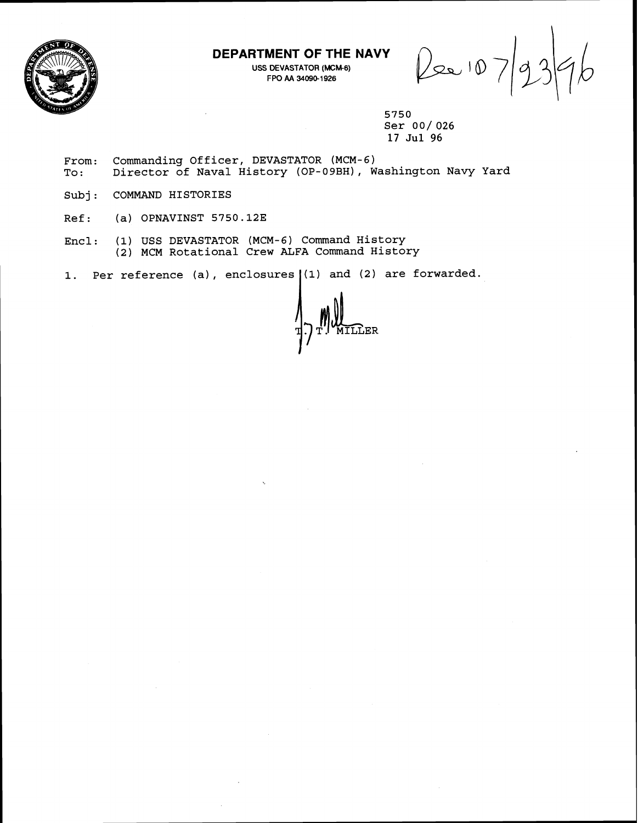

### **DEPARTMENT OF THE NAVY**

USS DEVASTATOR (MCM-6) **FPO AA 34090-1 926** 

Pee 10

**5750 Ser 001 026 17 Jul 96** 

**From: Commanding Officer, DEVASTATOR (MCM-6) To** : **Director of Naval History (OP-09BH), Washington Navy Yard** 

**Subj: COMMAND HISTORIES** 

**Ref** : **(a) OPNAVINST 5750.123** 

Encl: (1) USS DEVASTATOR (MCM-6) Command History **(2) MCM Rotational Crew ALFA Command History** 

**1. Per reference (a), enclosures (1) and (2) are forwarded.** I

ILLER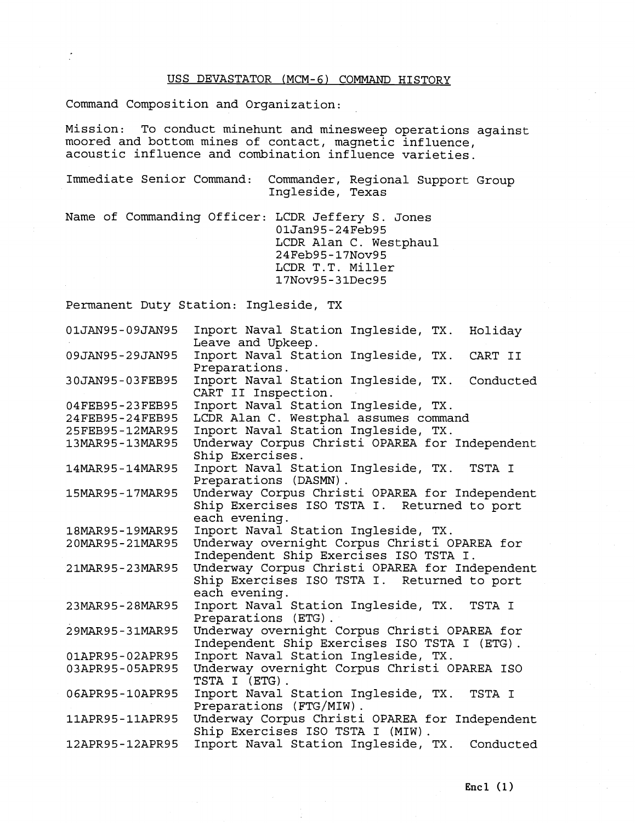#### USS DEVASTATOR (MCM-6) COMMAND HISTORY

Command Composition and Organization:

Mission: To conduct minehunt and minesweep operations against moored and bottom mines of contact, magnetic influence, acoustic influence and combination influence varieties.

Immediate Senior Command: Commander, Regional Support Group Ingleside, Texas

Name of Commanding Officer: LCDR Jeffery S. Jones 01Jan95-24Feb95 LCDR Alan C. Westphaul 24Feb95-17Nov95 LCDR T.T. Miller 17Nov95-31Dec95

Permanent Duty Station: Ingleside, TX

| 01JAN95-09JAN95 | Inport Naval Station Ingleside, TX.<br>Holiday<br>Leave and Upkeep.                                            |
|-----------------|----------------------------------------------------------------------------------------------------------------|
| 09JAN95-29JAN95 | Inport Naval Station Ingleside, TX.<br>CART II<br>Preparations.                                                |
| 30JAN95-03FEB95 | Inport Naval Station Ingleside, TX.<br>Conducted<br>CART II Inspection.                                        |
| 04FEB95-23FEB95 | Inport Naval Station Ingleside, TX.                                                                            |
| 24FEB95-24FEB95 | LCDR Alan C. Westphal assumes command                                                                          |
| 25FEB95-12MAR95 | Inport Naval Station Ingleside, TX.                                                                            |
| 13MAR95-13MAR95 | Underway Corpus Christi OPAREA for Independent<br>Ship Exercises.                                              |
| 14MAR95-14MAR95 | Inport Naval Station Ingleside, TX.<br>TSTA I<br>Preparations (DASMN).                                         |
| 15MAR95-17MAR95 | Underway Corpus Christi OPAREA for Independent<br>Ship Exercises ISO TSTA I. Returned to port<br>each evening. |
| 18MAR95-19MAR95 | Inport Naval Station Ingleside, TX.                                                                            |
| 20MAR95-21MAR95 | Underway overnight Corpus Christi OPAREA for<br>Independent Ship Exercises ISO TSTA I.                         |
| 21MAR95-23MAR95 | Underway Corpus Christi OPAREA for Independent<br>Ship Exercises ISO TSTA I. Returned to port<br>each evening. |
| 23MAR95-28MAR95 | Inport Naval Station Ingleside, TX. TSTA I<br>Preparations (ETG).                                              |
| 29MAR95-31MAR95 | Underway overnight Corpus Christi OPAREA for<br>Independent Ship Exercises ISO TSTA I (ETG).                   |
| 01APR95-02APR95 | Inport Naval Station Ingleside, TX.                                                                            |
| 03APR95-05APR95 | Underway overnight Corpus Christi OPAREA ISO<br>TSTA I (ETG).                                                  |
| 06APR95-10APR95 | Inport Naval Station Ingleside, TX.<br>TSTA I<br>Preparations (FTG/MIW).                                       |
| 11APR95-11APR95 | Underway Corpus Christi OPAREA for Independent<br>Ship Exercises ISO TSTA I (MIW).                             |
| 12APR95-12APR95 | Inport Naval Station Ingleside, TX. Conducted                                                                  |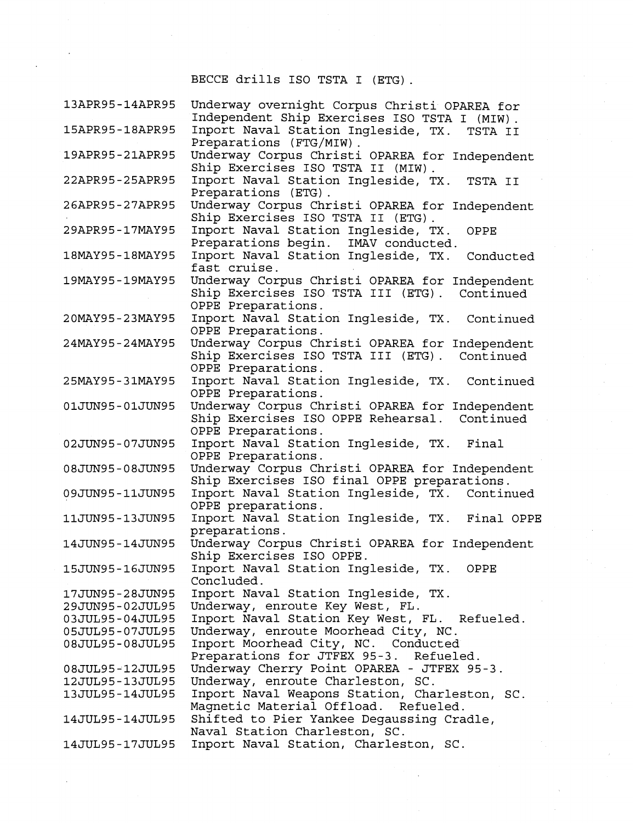# BECCE drills IS0 TSTA I (ETG) .

| 13APR95-14APR95 | Underway overnight Corpus Christi OPAREA for     |
|-----------------|--------------------------------------------------|
|                 | Independent Ship Exercises ISO TSTA I (MIW).     |
| 15APR95-18APR95 | Inport Naval Station Ingleside, TX.<br>TSTA II   |
|                 | Preparations (FTG/MIW).                          |
| 19APR95-21APR95 | Underway Corpus Christi OPAREA for Independent   |
|                 | Ship Exercises ISO TSTA II (MIW).                |
| 22APR95-25APR95 | Inport Naval Station Ingleside, TX.<br>TSTA II   |
|                 | Preparations (ETG).                              |
| 26APR95-27APR95 | Underway Corpus Christi OPAREA for Independent   |
|                 | Ship Exercises ISO TSTA II (ETG).                |
| 29APR95-17MAY95 | Inport Naval Station Ingleside, TX.<br>OPPE      |
|                 | Preparations begin. IMAV conducted.              |
| 18MAY95-18MAY95 | Inport Naval Station Ingleside, TX.<br>Conducted |
|                 | fast cruise.                                     |
| 19MAY95-19MAY95 | Underway Corpus Christi OPAREA for Independent   |
|                 | Ship Exercises ISO TSTA III (ETG). Continued     |
|                 | OPPE Preparations.                               |
| 20MAY95-23MAY95 | Inport Naval Station Ingleside, TX. Continued    |
|                 | OPPE Preparations.                               |
| 24MAY95-24MAY95 | Underway Corpus Christi OPAREA for Independent   |
|                 | Ship Exercises ISO TSTA III (ETG). Continued     |
|                 | OPPE Preparations.                               |
| 25MAY95-31MAY95 | Inport Naval Station Ingleside, TX. Continued    |
|                 | OPPE Preparations.                               |
| 01JUN95-01JUN95 | Underway Corpus Christi OPAREA for Independent   |
|                 | Ship Exercises ISO OPPE Rehearsal. Continued     |
|                 | OPPE Preparations.                               |
| 02JUN95-07JUN95 | Inport Naval Station Ingleside, TX. Final        |
|                 | OPPE Preparations.                               |
| 08JUN95-08JUN95 | Underway Corpus Christi OPAREA for Independent   |
|                 | Ship Exercises ISO final OPPE preparations.      |
| 09JUN95-11JUN95 | Inport Naval Station Ingleside, TX. Continued    |
|                 | OPPE preparations.                               |
| 11JUN95-13JUN95 | Inport Naval Station Ingleside, TX. Final OPPE   |
|                 |                                                  |
|                 | preparations.                                    |
| 14JUN95-14JUN95 | Underway Corpus Christi OPAREA for Independent   |
|                 | Ship Exercises ISO OPPE.                         |
| 15JUN95-16JUN95 | Inport Naval Station Ingleside, TX. OPPE         |
|                 | Concluded.                                       |
| 17JUN95-28JUN95 | Inport Naval Station Ingleside, TX.              |
| 29JUN95-02JUL95 | Underway, enroute Key West, FL.                  |
| 03JUL95-04JUL95 | Inport Naval Station Key West, FL. Refueled.     |
| 05JUL95-07JUL95 | Underway, enroute Moorhead City, NC.             |
| 08JUL95-08JUL95 | Inport Moorhead City, NC. Conducted              |
|                 | Preparations for JTFEX 95-3. Refueled.           |
| 08JUL95-12JUL95 | Underway Cherry Point OPAREA - JTFEX 95-3.       |
| 12JUL95-13JUL95 | Underway, enroute Charleston, SC.                |
| 13JUL95-14JUL95 | Inport Naval Weapons Station, Charleston, SC.    |
|                 | Magnetic Material Offload. Refueled.             |
| 14JUL95-14JUL95 | Shifted to Pier Yankee Degaussing Cradle,        |
|                 | Naval Station Charleston, SC.                    |
| 14JUL95-17JUL95 | Inport Naval Station, Charleston, SC.            |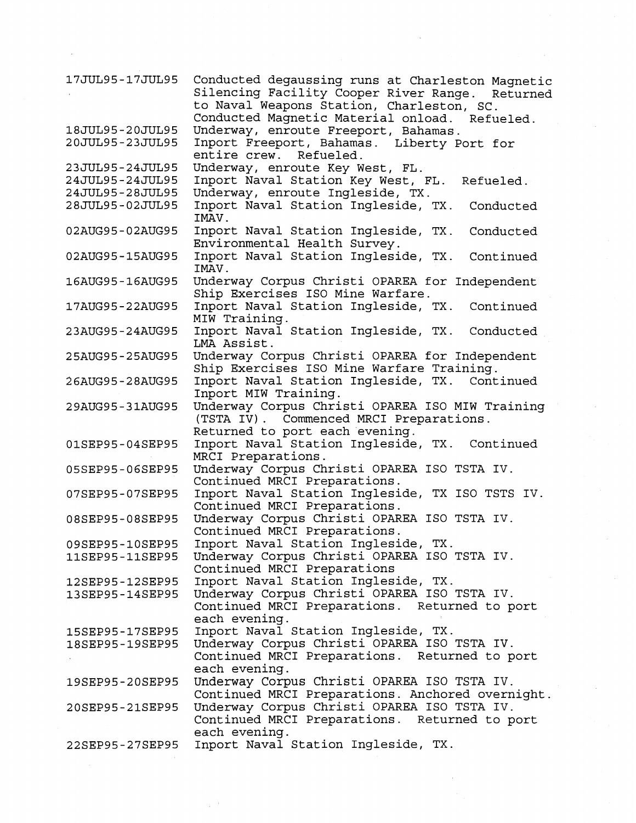| 17JUL95-17JUL95                    | Conducted degaussing runs at Charleston Magnetic<br>Silencing Facility Cooper River Range. Returned<br>to Naval Weapons Station, Charleston, SC.<br>Conducted Magnetic Material onload. Refueled. |
|------------------------------------|---------------------------------------------------------------------------------------------------------------------------------------------------------------------------------------------------|
| 18JUL95-20JUL95<br>20JUL95-23JUL95 | Underway, enroute Freeport, Bahamas.<br>Inport Freeport, Bahamas. Liberty Port for<br>entire crew. Refueled.                                                                                      |
| 23JUL95-24JUL95<br>24JUL95-24JUL95 | Underway, enroute Key West, FL.<br>Inport Naval Station Key West, FL.<br>Refueled.                                                                                                                |
| 24JUL95-28JUL95                    | Underway, enroute Ingleside, TX.                                                                                                                                                                  |
| 28JUL95-02JUL95                    | Inport Naval Station Ingleside, TX.<br>Conducted<br>IMAV.                                                                                                                                         |
| 02AUG95-02AUG95                    | Inport Naval Station Ingleside, TX.<br>Conducted<br>Environmental Health Survey.                                                                                                                  |
| 02AUG95-15AUG95                    | Inport Naval Station Ingleside, TX.<br>Continued<br>IMAV.                                                                                                                                         |
| 16AUG95-16AUG95                    | Underway Corpus Christi OPAREA for Independent<br>Ship Exercises ISO Mine Warfare.                                                                                                                |
| 17AUG95-22AUG95                    | Inport Naval Station Ingleside, TX.<br>Continued<br>MIW Training.                                                                                                                                 |
| 23AUG95-24AUG95                    | Inport Naval Station Ingleside, TX.<br>Conducted<br>LMA Assist.                                                                                                                                   |
| 25AUG95-25AUG95                    | Underway Corpus Christi OPAREA for Independent<br>Ship Exercises ISO Mine Warfare Training.                                                                                                       |
| 26AUG95-28AUG95                    | Inport Naval Station Ingleside, TX. Continued<br>Inport MIW Training.                                                                                                                             |
| 29AUG95-31AUG95                    | Underway Corpus Christi OPAREA ISO MIW Training<br>(TSTA IV). Commenced MRCI Preparations.<br>Returned to port each evening.                                                                      |
| 01SEP95-04SEP95                    | Inport Naval Station Ingleside, TX.<br>Continued<br>MRCI Preparations.                                                                                                                            |
| 05SEP95-06SEP95                    | Underway Corpus Christi OPAREA ISO TSTA IV.<br>Continued MRCI Preparations.                                                                                                                       |
| 07SEP95-07SEP95                    | Inport Naval Station Ingleside, TX ISO TSTS IV.<br>Continued MRCI Preparations.                                                                                                                   |
| 08SEP95-08SEP95                    | Underway Corpus Christi OPAREA ISO TSTA IV.<br>Continued MRCI Preparations.                                                                                                                       |
| 09SEP95-10SEP95                    | Inport Naval Station Ingleside, TX.                                                                                                                                                               |
| 11SEP95-11SEP95                    | Underway Corpus Christi OPAREA ISO TSTA IV.<br>Continued MRCI Preparations                                                                                                                        |
| 12SEP95-12SEP95                    | Inport Naval Station Ingleside, TX.                                                                                                                                                               |
| 13SEP95-14SEP95                    | Underway Corpus Christi OPAREA ISO TSTA IV.<br>Continued MRCI Preparations. Returned to port                                                                                                      |
|                                    | each evening.                                                                                                                                                                                     |
| 15SEP95-17SEP95<br>18SEP95-19SEP95 | Inport Naval Station Ingleside, TX.<br>Underway Corpus Christi OPAREA ISO TSTA IV.                                                                                                                |
|                                    | Continued MRCI Preparations. Returned to port<br>each evening.                                                                                                                                    |
| 19SEP95-20SEP95                    | Underway Corpus Christi OPAREA ISO TSTA IV.<br>Continued MRCI Preparations. Anchored overnight.                                                                                                   |
| 20SEP95-21SEP95                    | Underway Corpus Christi OPAREA ISO TSTA IV.<br>Continued MRCI Preparations. Returned to port                                                                                                      |
| 22SEP95-27SEP95                    | each evening.<br>Inport Naval Station Ingleside, TX.                                                                                                                                              |

 $\frac{1}{2} \left( \frac{1}{2} \right)$ 

 $\epsilon$ 

 $\hat{\mathbf{v}}$ 

 $\overline{a}$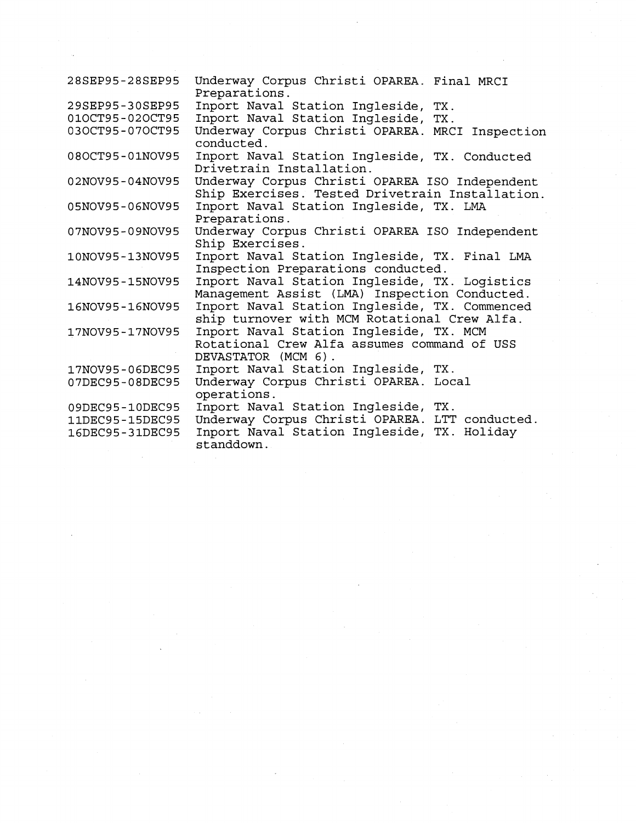| 28SEP95-28SEP95 | Underway Corpus Christi OPAREA. Final MRCI<br>Preparations.                                                   |
|-----------------|---------------------------------------------------------------------------------------------------------------|
| 29SEP95-30SEP95 | Inport Naval Station Ingleside, TX.                                                                           |
| 010CT95-020CT95 | Inport Naval Station Ingleside, TX.                                                                           |
| 030CT95-070CT95 | Underway Corpus Christi OPAREA. MRCI Inspection<br>conducted.                                                 |
| 080CT95-01NOV95 | Inport Naval Station Ingleside, TX. Conducted<br>Drivetrain Installation.                                     |
| 02NOV95-04NOV95 | Underway Corpus Christi OPAREA ISO Independent<br>Ship Exercises. Tested Drivetrain Installation.             |
| 05NOV95-06NOV95 | Inport Naval Station Ingleside, TX. LMA<br>Preparations.                                                      |
| 07NOV95-09NOV95 | Underway Corpus Christi OPAREA ISO Independent<br>Ship Exercises.                                             |
| 10NOV95-13NOV95 | Inport Naval Station Ingleside, TX. Final LMA<br>Inspection Preparations conducted.                           |
| 14NOV95-15NOV95 | Inport Naval Station Ingleside, TX. Logistics<br>Management Assist (LMA) Inspection Conducted.                |
| 16NOV95-16NOV95 | Inport Naval Station Ingleside, TX. Commenced<br>ship turnover with MCM Rotational Crew Alfa.                 |
| 17NOV95-17NOV95 | Inport Naval Station Ingleside, TX. MCM<br>Rotational Crew Alfa assumes command of USS<br>DEVASTATOR (MCM 6). |
| 17NOV95-06DEC95 | Inport Naval Station Ingleside, TX.                                                                           |
| 07DEC95-08DEC95 | Underway Corpus Christi OPAREA. Local<br>operations.                                                          |
| 09DEC95-10DEC95 | Inport Naval Station Ingleside, TX.                                                                           |
| 11DEC95-15DEC95 | Underway Corpus Christi OPAREA. LTT conducted.                                                                |
| 16DEC95-31DEC95 | Inport Naval Station Ingleside, TX. Holiday<br>standdown.                                                     |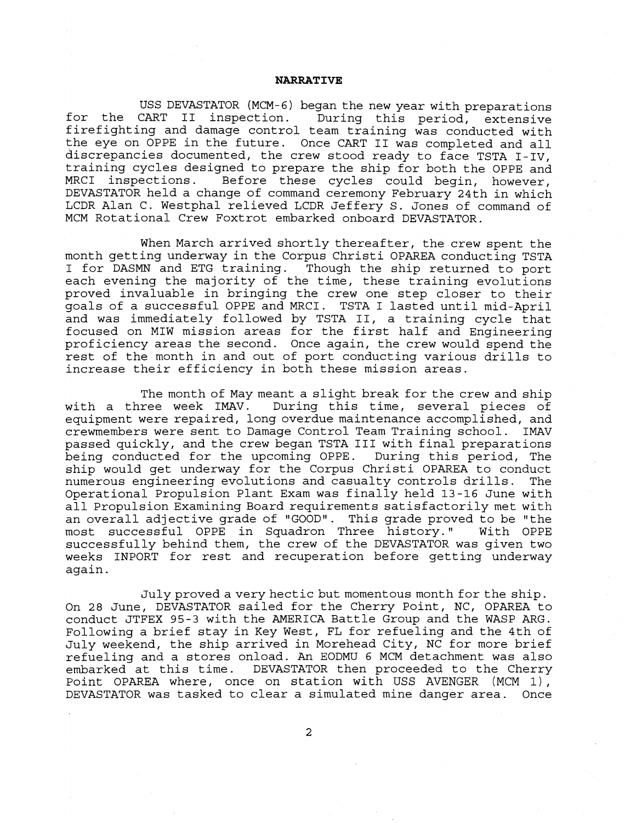#### **NARRATIVE**

USS DEVASTATOR (MCM- **6)** began the new year with preparations for the CART I1 inspection. During this period, extensive firefighting and damage control team training was conducted with the eye on OPPE in the future. Once CART I1 was completed and all discrepancies documented, the crew stood ready to face TSTA I-IV, training cycles designed to prepare the ship for both the OPPE and MRCI inspections. Before these cycles could begin, however, DEVASTATOR held a change of command ceremony February 24th in which LCDR Alan C. Westphal relieved LCDR Jeffery S. Jones of command of MCM Rotational Crew Foxtrot embarked onboard DEVASTATOR.

When March arrived shortly thereafter, the crew spent the month getting underway in the Corpus Christi OPAREA conducting TSTA I for DASMN and ETG training. Though the ship returned to port each evening the majority of the time, these training evolutions proved invaluable in bringing the crew one step closer to their goals of a successful OPPE and MRCI. TSTA I lasted until mid-April and was immediately followed by TSTA 11, a training cycle that focused on MIW mission areas for the first half and Engineering proficiency areas the second. Once again, the crew would spend the rest of the month in and out of port conducting various drills to increase their efficiency in both these mission areas.

The month of May meant a slight break for the crew and ship with a three week IMAV. During this time, several pieces of equipment were repaired, long overdue maintenance accomplished, and crewmembers were sent to Damage Control Team Training school. IMAV passed quickly, and the crew began TSTA I11 with final preparations being conducted for the upcoming OPPE. During this period, The ship would get underway for the Corpus Christi OPAREA to conduct numerous engineering evolutions and casualty controls drills. The Operational Propulsion Plant Exam was finally held **13-16** June with all Propulsion Examining Board requirements satisfactorily met with an overall adjective grade of "GOOD". This grade proved to be "the most successful OPPE in Squadron Three history." With OPPE successfully behind them, the crew of the DEVASTATOR was given two weeks INPORT for rest and recuperation before getting underway again.

July proved a very hectic but momentous month for the ship. On 28 June, DEVASTATOR sailed for the Cherry Point, NC, OPAREA to conduct JTFEX 95-3 with the AMERICA Battle Group and the WASP ARG. Following a brief stay in Key West, FL for refueling and the 4th of July weekend, the ship arrived in Morehead City, NC for more brief refueling and a stores onload. An EODMU **6** MCM detachment was also embarked at this time. DEVASTATOR then proceeded to the Cherry Point OPAREA where, once on station with USS AVENGER (MCM l), DEVASTATOR was tasked to clear a simulated mine danger area. Once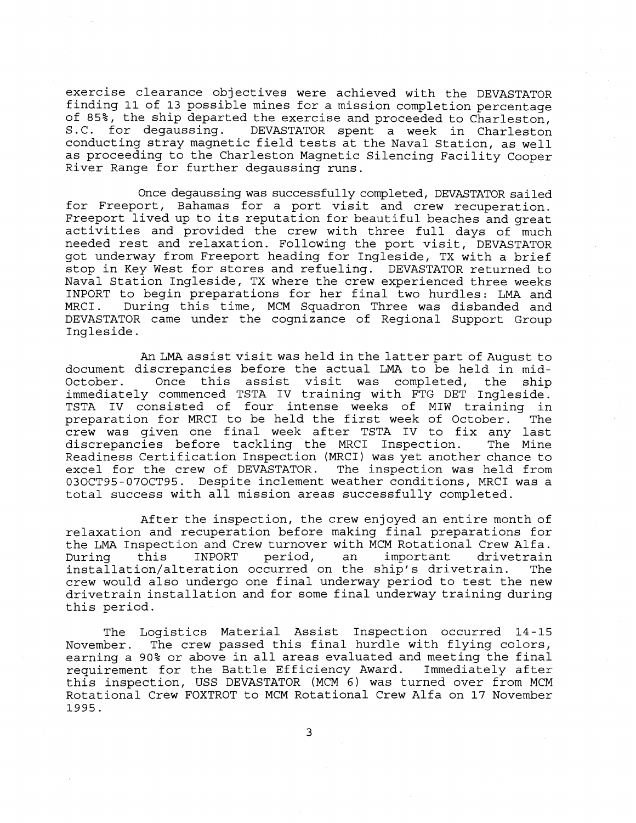exercise clearance objectives were achieved with the DEVASTATOR finding 11 of 13 possible mines for a mission completion percentage of 85%, the ship departed the exercise and proceeded to Charleston,<br>S.C. for degaussing. DEVASTATOR spent a week in Charleston DEVASTATOR spent a week in Charleston conducting stray magnetic field tests at the Naval Station, as well as proceeding to the Charleston Magnetic Silencing Facility Cooper River Range for further degaussing runs.

Once degaussing was successfully completed, DEVASTATOR sailed for Freeport, Bahamas for a port visit and crew recuperation. Freeport lived up to its reputation for beautiful beaches and great activities and provided the crew with three full days of much needed rest and relaxation. Following the port visit, DEVASTATOR got underway from Freeport heading for Ingleside, TX with a brief stop in Key West for stores and refueling. DEVASTATOR returned to Naval Station Ingleside, TX where the crew experienced three weeks INPORT to begin preparations for her final two hurdles: LMA and During this time, MCM Squadron Three was disbanded and DEVASTATOR came under the cognizance of Regional Support Group Ingleside.

An LMA assist visit was held in the latter part of August to document discrepancies before the actual LMA to be held in mid-<br>October. Once this assist visit was completed, the ship Once this assist visit was completed, the ship immediately commenced TSTA IV training with FTG DET Ingleside. TSTA IV consisted of four intense weeks of MIW training in<br>preparation for MRCI to be held the first week of October. The preparation for MRCI to be held the first week of October. crew was given one final week after TSTA IV to fix any last discrepancies before tackling the MRCI Inspection. Readiness Certification Inspection (MRCI) was yet another chance to excel for the crew of DEVASTATOR. The inspection was held from 030CT95-070CT95. Despite inclement weather conditions, MRCI was a total success with all mission areas successfully completed.

After the inspection, the crew enjoyed an entire month of relaxation and recuperation before making final preparations for the LMA Inspection and Crew turnover with MCM Rotational Crew Alfa.<br>During this INPORT period, an important drivetrain During this INPORT period, an important drivetrain installation/alteration occurred on the ship's drivetrain. The crew would also undergo one final underway period to test the new drivetrain installation and for some final underway training during this period.

The Logistics Material Assist Inspection occurred 14-15 November. The crew passed this final hurdle with flying colors, earning a 90% or above in all areas evaluated and meeting the final<br>requirement for the Battle Efficiency Award. Immediately after requirement for the Battle Efficiency Award. this inspection, USS DEVASTATOR (MCM 6) was turned over from MCM Rotational Crew FOXTROT to MCM Rotational Crew Alfa on 17 November 1995.

3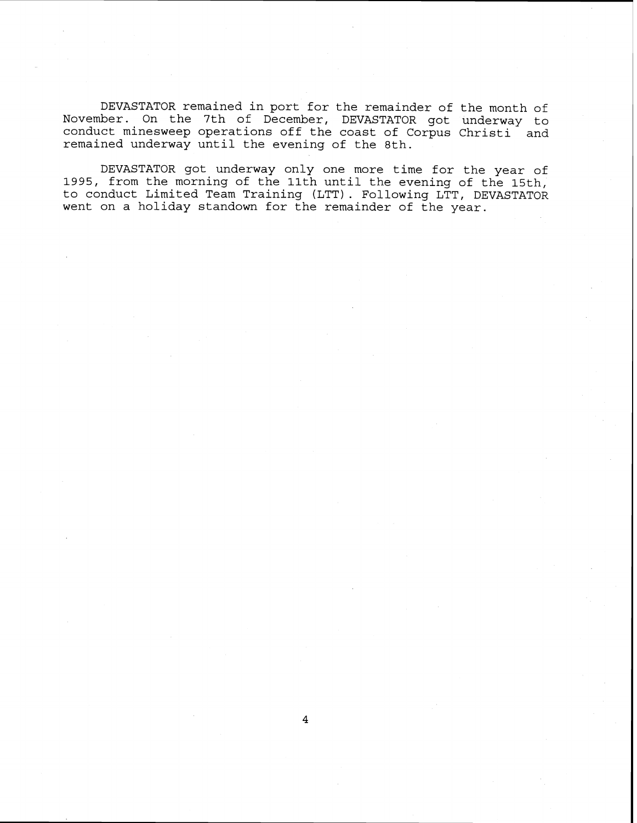DEVASTATOR remained in port for the remainder of the month of November. On the 7th of December, DEVASTATOR got underway to conduct minesweep operations off the coast of Corpus Christi and remained underway until the evening of the 8th.

DEVASTATOR got underway only one more time for the year of 1995, from the morning of the 11th until the evening of the 15th, to conduct Limited Team Training (LTT). Following LTT, DEVASTATOR went on a holiday standown for the remainder of the year.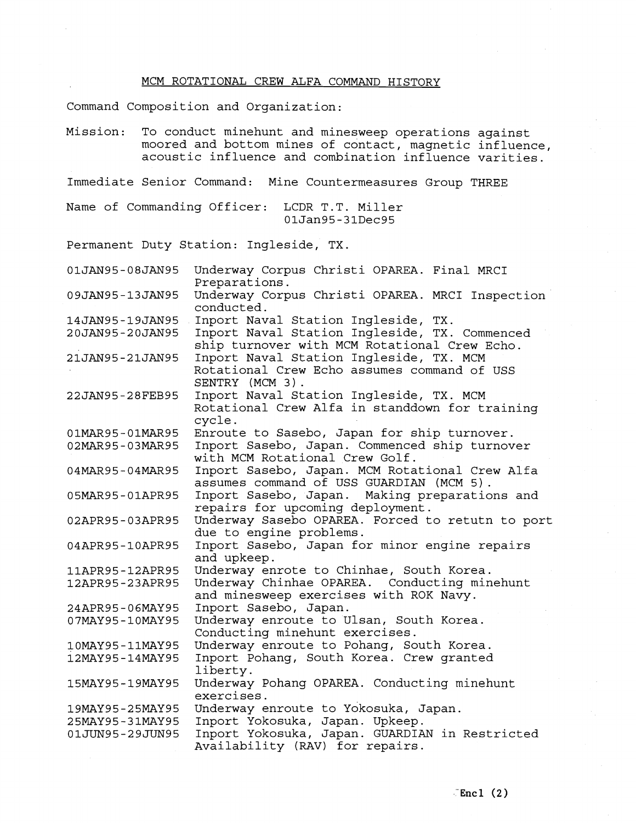## MCM ROTATIONAL CREW ALFA COMMAND HISTORY

Command Composition and Organization:

Mission: To conduct minehunt and minesweep operations against moored and bottom mines of contact, magnetic influence, acoustic influence and combination influence varities.

Immediate Senior Command: Mine Countermeasures Group THREE

Name of Commanding Officer: LCDR T.T. Miller 01Jan95-31Dec95

Permanent Duty Station: Ingleside, TX.

| 01JAN95-08JAN95 | Underway Corpus Christi OPAREA. Final MRCI<br>Preparations.                                   |
|-----------------|-----------------------------------------------------------------------------------------------|
| 09JAN95-13JAN95 | Underway Corpus Christi OPAREA. MRCI Inspection<br>conducted.                                 |
| 14JAN95-19JAN95 | Inport Naval Station Ingleside, TX.                                                           |
| 20JAN95-20JAN95 | Inport Naval Station Ingleside, TX. Commenced<br>ship turnover with MCM Rotational Crew Echo. |
| 21JAN95-21JAN95 | Inport Naval Station Ingleside, TX. MCM                                                       |
|                 | Rotational Crew Echo assumes command of USS<br>SENTRY (MCM 3).                                |
| 22JAN95-28FEB95 | Inport Naval Station Ingleside, TX. MCM                                                       |
|                 | Rotational Crew Alfa in standdown for training<br>cycle.                                      |
| 01MAR95-01MAR95 | Enroute to Sasebo, Japan for ship turnover.                                                   |
| 02MAR95-03MAR95 | Inport Sasebo, Japan. Commenced ship turnover                                                 |
|                 | with MCM Rotational Crew Golf.                                                                |
| 04MAR95-04MAR95 | Inport Sasebo, Japan. MCM Rotational Crew Alfa<br>assumes command of USS GUARDIAN (MCM 5).    |
| 05MAR95-01APR95 | Inport Sasebo, Japan. Making preparations and                                                 |
|                 | repairs for upcoming deployment.                                                              |
| 02APR95-03APR95 | Underway Sasebo OPAREA. Forced to retutn to port<br>due to engine problems.                   |
| 04APR95-10APR95 | Inport Sasebo, Japan for minor engine repairs<br>and upkeep.                                  |
| 11APR95-12APR95 | Underway enrote to Chinhae, South Korea.                                                      |
| 12APR95-23APR95 | Underway Chinhae OPAREA. Conducting minehunt                                                  |
|                 | and minesweep exercises with ROK Navy.                                                        |
| 24APR95-06MAY95 | Inport Sasebo, Japan.                                                                         |
| 07MAY95-10MAY95 | Underway enroute to Ulsan, South Korea.                                                       |
|                 | Conducting minehunt exercises.                                                                |
| 10MAY95-11MAY95 | Underway enroute to Pohang, South Korea.                                                      |
| 12MAY95-14MAY95 | Inport Pohang, South Korea. Crew granted                                                      |
|                 | liberty.                                                                                      |
| 15MAY95-19MAY95 | Underway Pohang OPAREA. Conducting minehunt                                                   |
|                 | exercises.                                                                                    |
| 19MAY95-25MAY95 | Underway enroute to Yokosuka, Japan.                                                          |
| 25MAY95-31MAY95 | Inport Yokosuka, Japan. Upkeep.                                                               |
| 01JUN95-29JUN95 | Inport Yokosuka, Japan. GUARDIAN in Restricted                                                |
|                 | Availability (RAV) for repairs.                                                               |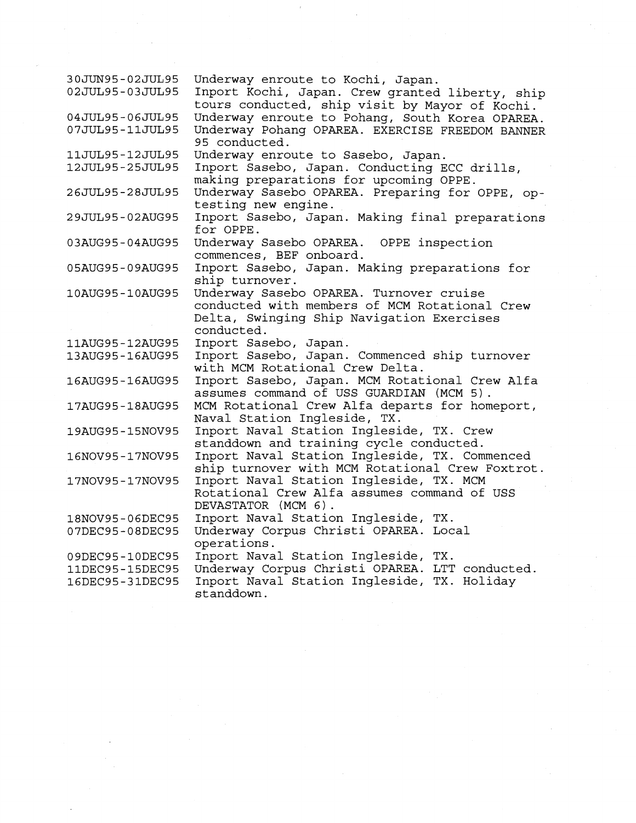| 30JUN95-02JUL95<br>02JUL95-03JUL95 | Underway enroute to Kochi, Japan.<br>Inport Kochi, Japan. Crew granted liberty, ship<br>tours conducted, ship visit by Mayor of Kochi.              |
|------------------------------------|-----------------------------------------------------------------------------------------------------------------------------------------------------|
| 04JUL95-06JUL95<br>07JUL95-11JUL95 | Underway enroute to Pohang, South Korea OPAREA.<br>Underway Pohang OPAREA. EXERCISE FREEDOM BANNER<br>95 conducted.                                 |
| 11JUL95-12JUL95                    | Underway enroute to Sasebo, Japan.                                                                                                                  |
| 12JUL95-25JUL95                    | Inport Sasebo, Japan. Conducting ECC drills,<br>making preparations for upcoming OPPE.                                                              |
| 26JUL95-28JUL95                    | Underway Sasebo OPAREA. Preparing for OPPE, op-<br>testing new engine.                                                                              |
| 29JUL95-02AUG95                    | Inport Sasebo, Japan. Making final preparations<br>for OPPE.                                                                                        |
| 03AUG95-04AUG95                    | Underway Sasebo OPAREA. OPPE inspection<br>commences, BEF onboard.                                                                                  |
| 05AUG95-09AUG95                    | Inport Sasebo, Japan. Making preparations for<br>ship turnover.                                                                                     |
| 10AUG95-10AUG95                    | Underway Sasebo OPAREA. Turnover cruise<br>conducted with members of MCM Rotational Crew<br>Delta, Swinging Ship Navigation Exercises<br>conducted. |
| 11AUG95-12AUG95                    | Inport Sasebo, Japan.                                                                                                                               |
| 13AUG95-16AUG95                    | Inport Sasebo, Japan. Commenced ship turnover<br>with MCM Rotational Crew Delta.                                                                    |
| 16AUG95-16AUG95                    | Inport Sasebo, Japan. MCM Rotational Crew Alfa<br>assumes command of USS GUARDIAN (MCM 5).                                                          |
| 17AUG95-18AUG95                    | MCM Rotational Crew Alfa departs for homeport,<br>Naval Station Ingleside, TX.                                                                      |
| 19AUG95-15NOV95                    | Inport Naval Station Ingleside, TX. Crew<br>standdown and training cycle conducted.                                                                 |
| 16NOV95-17NOV95                    | Inport Naval Station Ingleside, TX. Commenced<br>ship turnover with MCM Rotational Crew Foxtrot.                                                    |
| 17NOV95-17NOV95                    | Inport Naval Station Ingleside, TX. MCM<br>Rotational Crew Alfa assumes command of USS<br>DEVASTATOR (MCM 6).                                       |
| 18NOV95-06DEC95                    | Inport Naval Station Ingleside, TX.                                                                                                                 |
| 07DEC95-08DEC95                    | Underway Corpus Christi OPAREA. Local<br>operations.                                                                                                |
| 09DEC95-10DEC95                    | Inport Naval Station Ingleside, TX.                                                                                                                 |
| 11DEC95-15DEC95                    | Underway Corpus Christi OPAREA. LTT conducted.                                                                                                      |
| 16DEC95-31DEC95                    | Inport Naval Station Ingleside, TX. Holiday<br>standdown.                                                                                           |

 $\epsilon$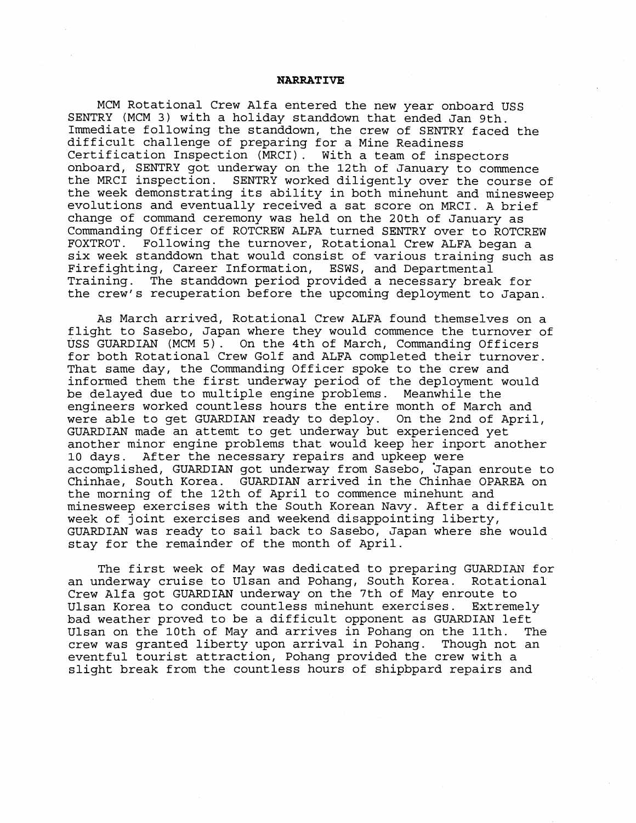#### **NARRATIVE**

MCM Rotational Crew Alfa entered the new year onboard USS SENTRY (MCM **3)** with a holiday standdown that ended Jan 9th. Immediate following the standdown, the crew of SENTRY faced the difficult challenge of preparing for a Mine Readiness Certification Inspection (MRCI) . With a team of inspectors onboard, SENTRY got underway on the 12th of January to commence the MRCI inspection. SENTRY worked diligently over the course of the week demonstrating its ability in both minehunt and minesweep evolutions and eventually received a sat score on MRCI. A brief change of command ceremony was held on the 20th of January as Commanding Officer of ROTCREW ALFA turned SENTRY over to ROTCREW FOXTROT. Following the turnover, Rotational Crew ALFA began a six week standdown that would consist of various training such as<br>Firefighting, Career Information, ESWS, and Departmental Firefighting, Career Information, Training. The standdown period provided a necessary break for the crew's recuperation before the upcoming deployment to Japan.

As March arrived, Rotational Crew ALFA found themselves on a flight to Sasebo, Japan where they would commence the turnover of USS GUARDIAN (MCM **5).** On the 4th of March, Commanding Officers for both Rotational Crew Golf and ALFA completed their turnover. That same day, the Commanding Officer spoke to the crew and informed them the first underway period of the deployment would be delayed due to multiple engine problems. Meanwhile the engineers worked countless hours the entire month of March and were able to get GUARDIAN ready to deploy. On the 2nd of April, GUARDIAN made an attemt to get underway but experienced yet another minor engine problems that would keep her inport another 10 days. After the necessary repairs and upkeep were accomplished, GUARDIAN got underway from Sasebo, japan enroute to Chinhae, South Korea. GUARDIAN arrived in the Chinhae OPAREA on the morning of the 12th of April to commence minehunt and minesweep exercises with the South Korean Navy. After a difficult week of joint exercises and weekend disappointing liberty, GUARDIAN was ready to sail back to Sasebo, Japan where she would stay for the remainder of the month of April.

The first week of May was dedicated to preparing GUARDIAN for an underway cruise to Ulsan and Pohang, South Korea. Rotational Crew Alfa got GUARDIAN underway on the 7th of May enroute to Ulsan Korea to conduct countless minehunt exercises. Extremely bad weather proved to be a difficult opponent as GUARDIAN left Ulsan on the 10th of May and arrives in Pohang on the 11th. The crew was granted liberty upon arrival in Pohang. Though not an eventful tourist attraction, Pohang provided the crew with a slight break from the countless hours of shipbpard repairs and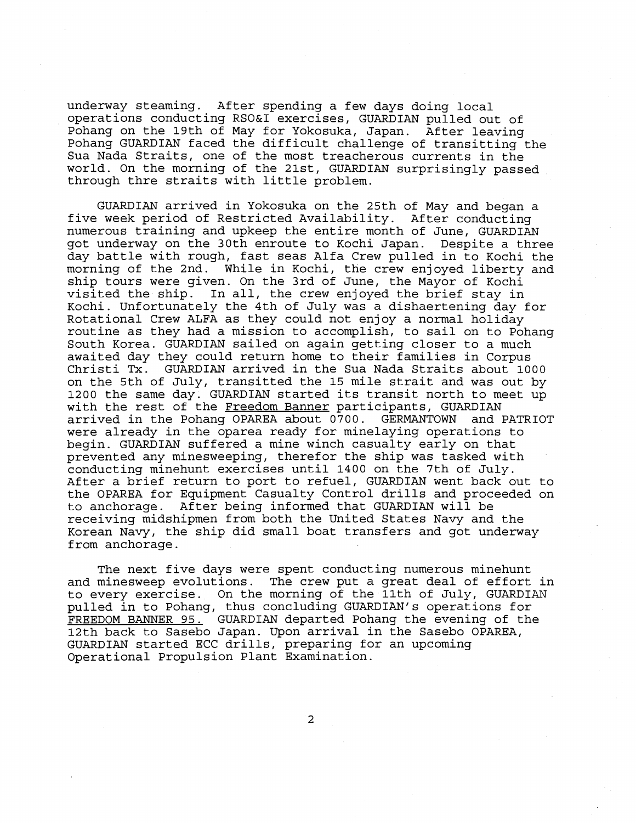underway steaming. After spending a few days doing local operations conducting RSO&I exercises, GUARDIAN pulled out of Pohang on the 19th of May for Yokosuka, Japan. After leaving Pohang GUARDIAN faced the difficult challenge of transitting the Sua Nada Straits, one of the most treacherous currents in the world. On the morning of the 21st, GUARDIAN surprisingly passed through thre straits with little problem.

GUARDIAN arrived in Yokosuka on the 25th of May and began a five week period of Restricted Availability. After conducting numerous training and upkeep the entire month of June, GUARDIAN got underway on the 30th enroute to Kochi Japan. Despite a three day battle with rough, fast seas Alfa Crew pulled in to Kochi the morning of the 2nd. While in Kochi, the crew enjoyed liberty and ship tours were given. On the 3rd of June, the Mayor of Kochi visited the ship. In all, the crew enjoyed the brief stay in Kochi. Unfortunately the 4th of July was a dishaertening day for Rotational Crew ALFA as they could not enjoy a normal holiday routine as they had a mission to accomplish, to sail on to Pohang South Korea. GUARDIAN sailed on again getting closer to a much awaited day they could return home to their families in Corpus Christi Tx. GUARDIAN arrived in the Sua Nada Straits about 1000 on the 5th of July, transitted the 15 mile strait and was out by 1200 the same day. GUARDIAN started its transit north to meet up with the rest of the Freedom Banner participants, GUARDIAN arrived in the Pohang OPAREA about 0700. GERMANTOWN and PATRIOT were already in the oparea ready for minelaying operations to begin. GUARDIAN suffered a mine winch casualty early on that prevented any minesweeping, therefor the ship was tasked with conducting minehunt exercises until 1400 on the 7th of July. After a brief return to port to refuel, GUARDIAN went back out to the OPAREA for Equipment Casualty Control drills and proceeded on to anchorage. After being informed that GUARDIAN will be receiving midshipmen from both the United States Navy and the Korean Navy, the ship did small boat transfers and got underway from anchorage.

The next five days were spent conducting numerous minehunt and minesweep evolutions. The crew put a great deal of effort in to every exercise. On the morning of the 11th of July, GUARDIAN pulled in to Pohang, thus concluding GUARDIAN'S operations for FREEDOM BANNER 95. GUARDIAN departed Pohang the evening of the 12th back to Sasebo Japan. Upon arrival in the Sasebo OPAREA, GUARDIAN started ECC drills, preparing for an upcoming Operational Propulsion Plant Examination.